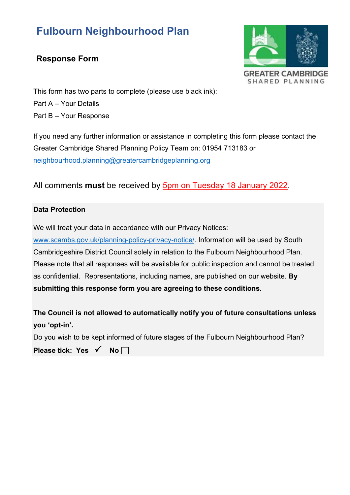# **Fulbourn Neighbourhood Plan**

### **Response Form**



This form has two parts to complete (please use black ink): Part A – Your Details Part B – Your Response

If you need any further information or assistance in completing this form please contact the Greater Cambridge Shared Planning Policy Team on: 01954 713183 or [neighbourhood.planning@greatercambridgeplanning.org](mailto:neighbourhood.planning@greatercambridgeplanning.org)

All comments **must** be received by 5pm on Tuesday 18 January 2022.

#### **Data Protection**

We will treat your data in accordance with our Privacy Notices:

[www.scambs.gov.uk/planning-policy-privacy-notice/.](http://www.scambs.gov.uk/planning-policy-privacy-notice/) Information will be used by South Cambridgeshire District Council solely in relation to the Fulbourn Neighbourhood Plan. Please note that all responses will be available for public inspection and cannot be treated as confidential. Representations, including names, are published on our website. **By submitting this response form you are agreeing to these conditions.** 

**The Council is not allowed to automatically notify you of future consultations unless you 'opt-in'.** 

Do you wish to be kept informed of future stages of the Fulbourn Neighbourhood Plan?

**Please tick: Yes √ No** $\Box$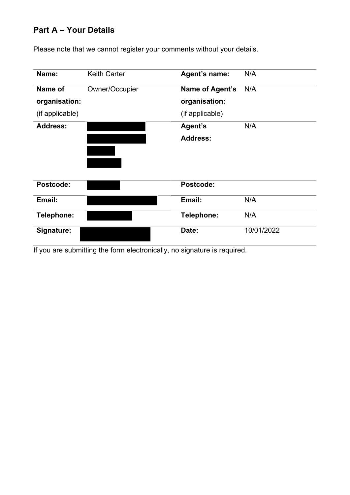### **Part A – Your Details**

Please note that we cannot register your comments without your details.

| Name:           | <b>Keith Carter</b> | Agent's name:   | N/A        |
|-----------------|---------------------|-----------------|------------|
| Name of         | Owner/Occupier      | Name of Agent's | N/A        |
| organisation:   |                     | organisation:   |            |
| (if applicable) |                     | (if applicable) |            |
| <b>Address:</b> |                     | Agent's         | N/A        |
|                 |                     | <b>Address:</b> |            |
|                 |                     |                 |            |
|                 |                     |                 |            |
|                 |                     |                 |            |
| Postcode:       |                     | Postcode:       |            |
| Email:          |                     | Email:          | N/A        |
| Telephone:      |                     | Telephone:      | N/A        |
|                 |                     |                 |            |
| Signature:      |                     | Date:           | 10/01/2022 |

If you are submitting the form electronically, no signature is required.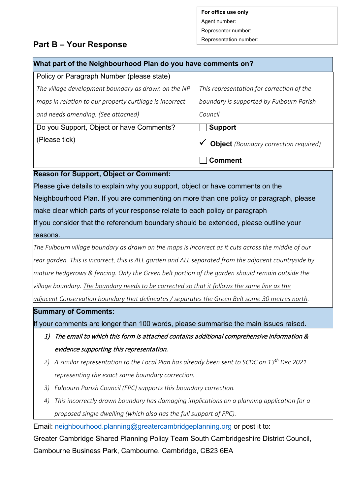**For office use only** Agent number: Representor number:

## Representation number: **Part B – Your Response**

| What part of the Neighbourhood Plan do you have comments on?                           |                                              |  |  |  |
|----------------------------------------------------------------------------------------|----------------------------------------------|--|--|--|
| Policy or Paragraph Number (please state)                                              |                                              |  |  |  |
| The village development boundary as drawn on the NP                                    | This representation for correction of the    |  |  |  |
| maps in relation to our property curtilage is incorrect                                | boundary is supported by Fulbourn Parish     |  |  |  |
| and needs amending. (See attached)                                                     | Council                                      |  |  |  |
| Do you Support, Object or have Comments?                                               | <b>Support</b>                               |  |  |  |
| (Please tick)                                                                          | <b>Object</b> (Boundary correction required) |  |  |  |
|                                                                                        | <b>Comment</b>                               |  |  |  |
| <b>Reason for Support, Object or Comment:</b>                                          |                                              |  |  |  |
| Please give details to explain why you support, object or have comments on the         |                                              |  |  |  |
| Neighbourhood Plan. If you are commenting on more than one policy or paragraph, please |                                              |  |  |  |

make clear which parts of your response relate to each policy or paragraph

If you consider that the referendum boundary should be extended, please outline your reasons.

*The Fulbourn village boundary as drawn on the maps is incorrect as it cuts across the middle of our rear garden. This is incorrect, this is ALL garden and ALL separated from the adjacent countryside by mature hedgerows & fencing. Only the Green belt portion of the garden should remain outside the village boundary. The boundary needs to be corrected so that it follows the same line as the* 

*adjacent Conservation boundary that delineates / separates the Green Belt some 30 metres north.* 

#### **Summary of Comments:**

If your comments are longer than 100 words, please summarise the main issues raised.

- 1) The email to which this form is attached contains additional comprehensive information & evidence supporting this representation.
- *2) A similar representation to the Local Plan has already been sent to SCDC on 13th Dec 2021 representing the exact same boundary correction.*
- *3) Fulbourn Parish Council (FPC) supports this boundary correction.*
- *4) This incorrectly drawn boundary has damaging implications on a planning application for a proposed single dwelling (which also has the full support of FPC).*

Email: [neighbourhood.planning@greatercambridgeplanning.org](mailto:neighbourhood.planning@greatercambridgeplanning.org) or post it to:

Greater Cambridge Shared Planning Policy Team South Cambridgeshire District Council, Cambourne Business Park, Cambourne, Cambridge, CB23 6EA